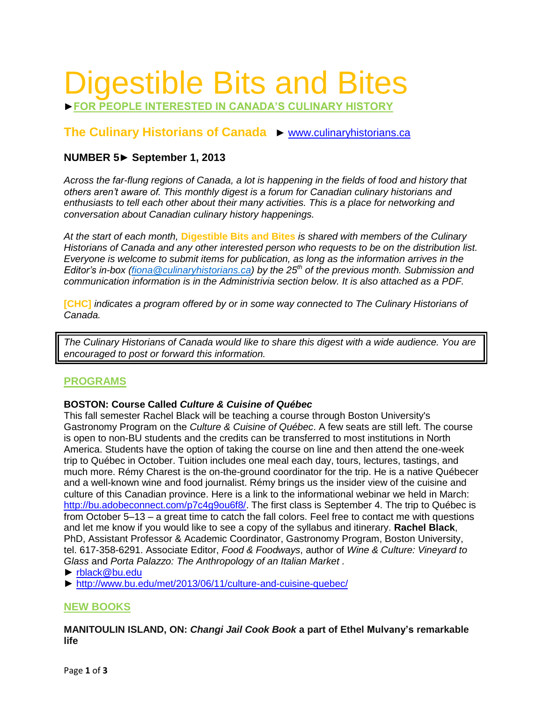# Digestible Bits and Bites

►**FOR PEOPLE INTERESTED IN CANADA'S CULINARY HISTORY**

# **The Culinary Historians of Canada** ► [www.culinaryhistorians.ca](http://www.culinaryhistorians.ca/)

# **NUMBER 5► September 1, 2013**

*Across the far-flung regions of Canada, a lot is happening in the fields of food and history that others aren't aware of. This monthly digest is a forum for Canadian culinary historians and enthusiasts to tell each other about their many activities. This is a place for networking and conversation about Canadian culinary history happenings.* 

*At the start of each month,* **Digestible Bits and Bites** *is shared with members of the Culinary Historians of Canada and any other interested person who requests to be on the distribution list. Everyone is welcome to submit items for publication, as long as the information arrives in the Editor's in-box [\(fiona@culinaryhistorians.ca\)](mailto:fiona@culinaryhistorians.ca) by the 25th of the previous month. Submission and communication information is in the Administrivia section below. It is also attached as a PDF.*

**[CHC]** *indicates a program offered by or in some way connected to The Culinary Historians of Canada.*

*The Culinary Historians of Canada would like to share this digest with a wide audience. You are encouraged to post or forward this information.*

# **PROGRAMS**

## **BOSTON: Course Called** *Culture & Cuisine of Québec*

This fall semester Rachel Black will be teaching a course through Boston University's Gastronomy Program on the *Culture & Cuisine of Québec*. A few seats are still left. The course is open to non-BU students and the credits can be transferred to most institutions in North America. Students have the option of taking the course on line and then attend the one-week trip to Québec in October. Tuition includes one meal each day, tours, lectures, tastings, and much more. Rémy Charest is the on-the-ground coordinator for the trip. He is a native Québecer and a well-known wine and food journalist. Rémy brings us the insider view of the cuisine and culture of this Canadian province. Here is a link to the informational webinar we held in March: [http://bu.adobeconnect.com/p7c4g9ou6f8/.](http://bu.adobeconnect.com/p7c4g9ou6f8/) The first class is September 4. The trip to Québec is from October 5–13 – a great time to catch the fall colors. Feel free to contact me with questions and let me know if you would like to see a copy of the syllabus and itinerary. **Rachel Black**, PhD, Assistant Professor & Academic Coordinator, Gastronomy Program, Boston University, tel. 617-358-6291. Associate Editor, *Food & Foodways*, author of *Wine & Culture: Vineyard to Glass* and *Porta Palazzo: The Anthropology of an Italian Market .*

- ► [rblack@bu.edu](mailto:rblack@bu.edu)
- ► <http://www.bu.edu/met/2013/06/11/culture-and-cuisine-quebec/>

# **NEW BOOKS**

**MANITOULIN ISLAND, ON:** *Changi Jail Cook Book* **a part of Ethel Mulvany's remarkable life**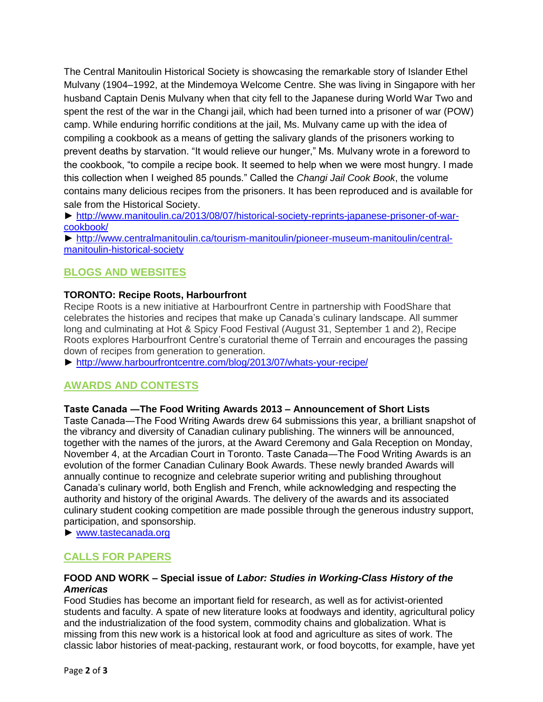The Central Manitoulin Historical Society is showcasing the remarkable story of Islander Ethel Mulvany (1904–1992, at the Mindemoya Welcome Centre. She was living in Singapore with her husband Captain Denis Mulvany when that city fell to the Japanese during World War Two and spent the rest of the war in the Changi jail, which had been turned into a prisoner of war (POW) camp. While enduring horrific conditions at the jail, Ms. Mulvany came up with the idea of compiling a cookbook as a means of getting the salivary glands of the prisoners working to prevent deaths by starvation. "It would relieve our hunger," Ms. Mulvany wrote in a foreword to the cookbook, "to compile a recipe book. It seemed to help when we were most hungry. I made this collection when I weighed 85 pounds." Called the *Changi Jail Cook Book*, the volume contains many delicious recipes from the prisoners. It has been reproduced and is available for sale from the Historical Society.

► [http://www.manitoulin.ca/2013/08/07/historical-society-reprints-japanese-prisoner-of-war](http://www.manitoulin.ca/2013/08/07/historical-society-reprints-japanese-prisoner-of-war-cookbook/)[cookbook/](http://www.manitoulin.ca/2013/08/07/historical-society-reprints-japanese-prisoner-of-war-cookbook/)

► [http://www.centralmanitoulin.ca/tourism-manitoulin/pioneer-museum-manitoulin/central](http://www.centralmanitoulin.ca/tourism-manitoulin/pioneer-museum-manitoulin/central-manitoulin-historical-society)[manitoulin-historical-society](http://www.centralmanitoulin.ca/tourism-manitoulin/pioneer-museum-manitoulin/central-manitoulin-historical-society)

# **BLOGS AND WEBSITES**

## **TORONTO: Recipe Roots, Harbourfront**

Recipe Roots is a new initiative at Harbourfront Centre in partnership with FoodShare that celebrates the histories and recipes that make up Canada's culinary landscape. All summer long and culminating at Hot & Spicy Food Festival (August 31, September 1 and 2), Recipe Roots explores Harbourfront Centre's curatorial theme of Terrain and encourages the passing down of recipes from generation to generation.

► <http://www.harbourfrontcentre.com/blog/2013/07/whats-your-recipe/>

## **AWARDS AND CONTESTS**

#### **Taste Canada ―The Food Writing Awards 2013 – Announcement of Short Lists**

Taste Canada―The Food Writing Awards drew 64 submissions this year, a brilliant snapshot of the vibrancy and diversity of Canadian culinary publishing. The winners will be announced, together with the names of the jurors, at the Award Ceremony and Gala Reception on Monday, November 4, at the Arcadian Court in Toronto. Taste Canada―The Food Writing Awards is an evolution of the former Canadian Culinary Book Awards. These newly branded Awards will annually continue to recognize and celebrate superior writing and publishing throughout Canada's culinary world, both English and French, while acknowledging and respecting the authority and history of the original Awards. The delivery of the awards and its associated culinary student cooking competition are made possible through the generous industry support, participation, and sponsorship.

► [www.tastecanada.org](http://www.tastecanada.org/)

## **CALLS FOR PAPERS**

#### **FOOD AND WORK – Special issue of** *Labor: Studies in Working-Class History of the Americas*

Food Studies has become an important field for research, as well as for activist-oriented students and faculty. A spate of new literature looks at foodways and identity, agricultural policy and the industrialization of the food system, commodity chains and globalization. What is missing from this new work is a historical look at food and agriculture as sites of work. The classic labor histories of meat-packing, restaurant work, or food boycotts, for example, have yet